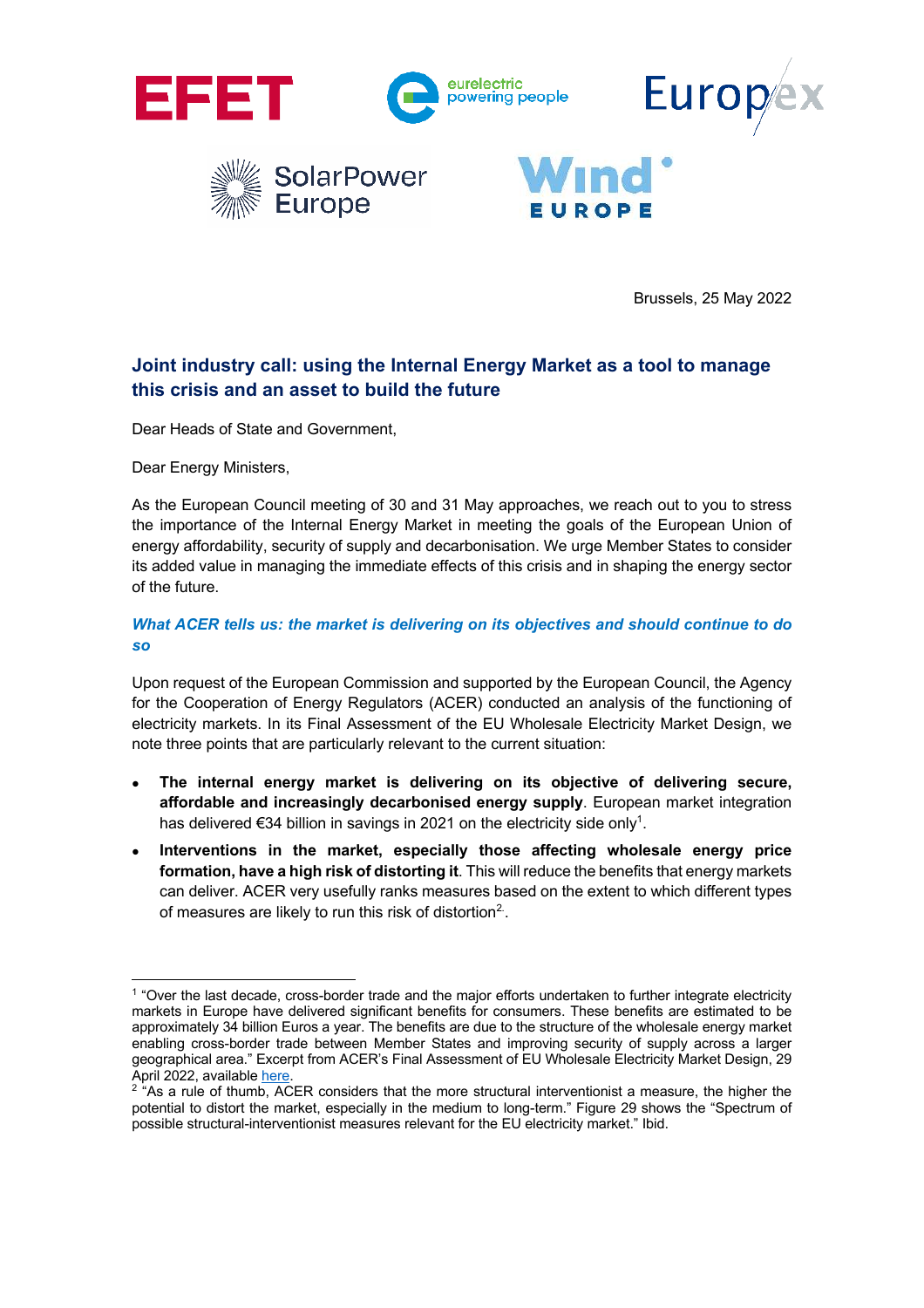

Brussels, 25 May 2022

# **Joint industry call: using the Internal Energy Market as a tool to manage this crisis and an asset to build the future**

Dear Heads of State and Government,

Dear Energy Ministers,

As the European Council meeting of 30 and 31 May approaches, we reach out to you to stress the importance of the Internal Energy Market in meeting the goals of the European Union of energy affordability, security of supply and decarbonisation. We urge Member States to consider its added value in managing the immediate effects of this crisis and in shaping the energy sector of the future.

## *What ACER tells us: the market is delivering on its objectives and should continue to do so*

Upon request of the European Commission and supported by the European Council, the Agency for the Cooperation of Energy Regulators (ACER) conducted an analysis of the functioning of electricity markets. In its Final Assessment of the EU Wholesale Electricity Market Design, we note three points that are particularly relevant to the current situation:

- **The internal energy market is delivering on its objective of delivering secure, affordable and increasingly decarbonised energy supply**. European market integration has delivered €34 billion in savings in 2021 on the electricity side only<sup>1</sup>.
- **Interventions in the market, especially those affecting wholesale energy price formation, have a high risk of distorting it**. This will reduce the benefits that energy markets can deliver. ACER very usefully ranks measures based on the extent to which different types of measures are likely to run this risk of distortion $2$ .

<sup>&</sup>lt;sup>1</sup> "Over the last decade, cross-border trade and the major efforts undertaken to further integrate electricity markets in Europe have delivered significant benefits for consumers. These benefits are estimated to be approximately 34 billion Euros a year. The benefits are due to the structure of the wholesale energy market enabling cross-border trade between Member States and improving security of supply across a larger geographical area." Excerpt from ACER's Final Assessment of EU Wholesale Electricity Market Design, 29 April 2022, available here

 $2$  "As a rule of thumb, ACER considers that the more structural interventionist a measure, the higher the potential to distort the market, especially in the medium to long-term." Figure 29 shows the "Spectrum of possible structural-interventionist measures relevant for the EU electricity market." Ibid.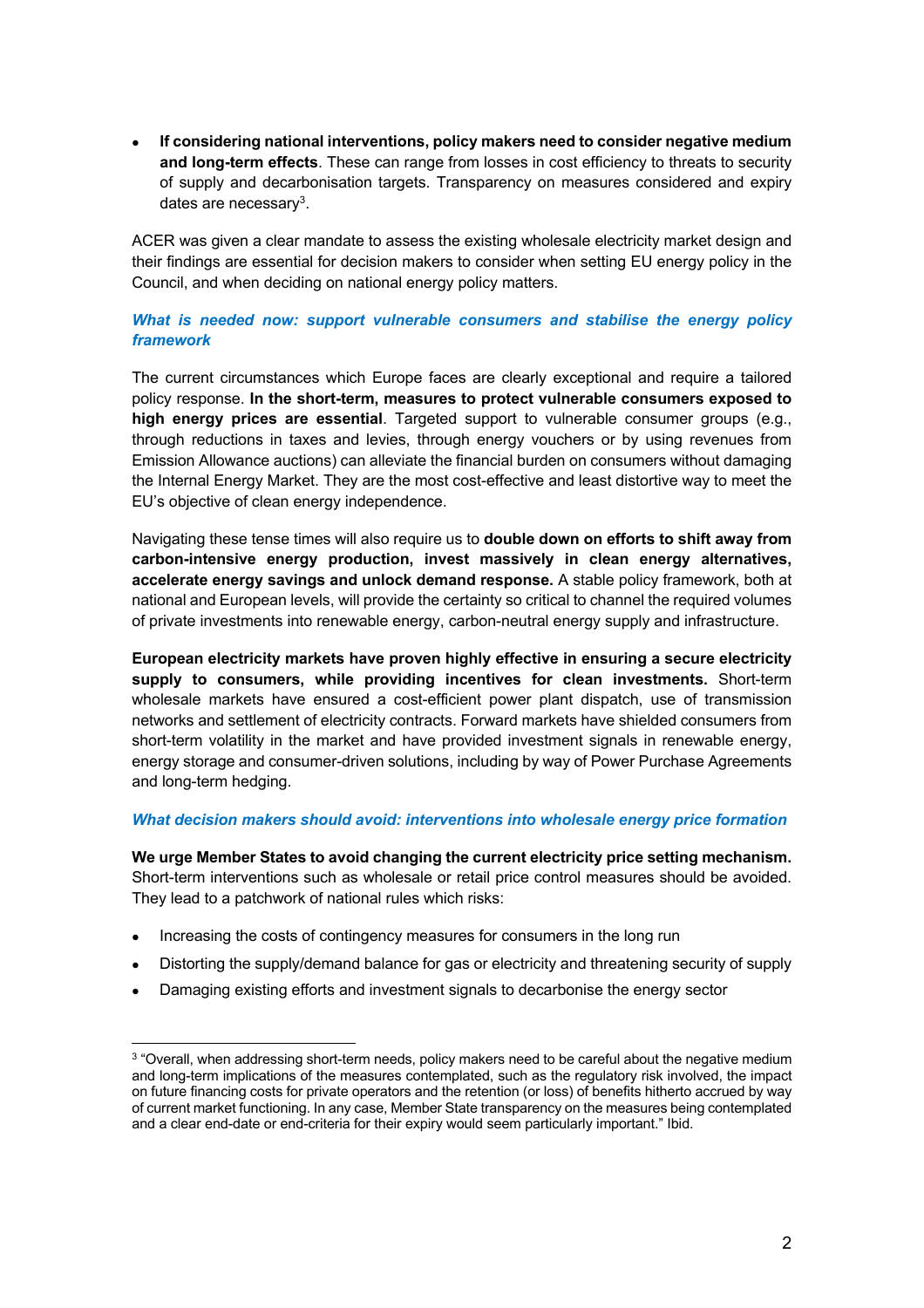• **If considering national interventions, policy makers need to consider negative medium and long-term effects**. These can range from losses in cost efficiency to threats to security of supply and decarbonisation targets. Transparency on measures considered and expiry dates are necessary<sup>3</sup>.

ACER was given a clear mandate to assess the existing wholesale electricity market design and their findings are essential for decision makers to consider when setting EU energy policy in the Council, and when deciding on national energy policy matters.

## *What is needed now: support vulnerable consumers and stabilise the energy policy framework*

The current circumstances which Europe faces are clearly exceptional and require a tailored policy response. **In the short-term, measures to protect vulnerable consumers exposed to high energy prices are essential**. Targeted support to vulnerable consumer groups (e.g., through reductions in taxes and levies, through energy vouchers or by using revenues from Emission Allowance auctions) can alleviate the financial burden on consumers without damaging the Internal Energy Market. They are the most cost-effective and least distortive way to meet the EU's objective of clean energy independence.

Navigating these tense times will also require us to **double down on efforts to shift away from carbon-intensive energy production, invest massively in clean energy alternatives, accelerate energy savings and unlock demand response.** A stable policy framework, both at national and European levels, will provide the certainty so critical to channel the required volumes of private investments into renewable energy, carbon-neutral energy supply and infrastructure.

**European electricity markets have proven highly effective in ensuring a secure electricity supply to consumers, while providing incentives for clean investments.** Short-term wholesale markets have ensured a cost-efficient power plant dispatch, use of transmission networks and settlement of electricity contracts. Forward markets have shielded consumers from short-term volatility in the market and have provided investment signals in renewable energy, energy storage and consumer-driven solutions, including by way of Power Purchase Agreements and long-term hedging.

### *What decision makers should avoid: interventions into wholesale energy price formation*

**We urge Member States to avoid changing the current electricity price setting mechanism.** Short-term interventions such as wholesale or retail price control measures should be avoided. They lead to a patchwork of national rules which risks:

- Increasing the costs of contingency measures for consumers in the long run
- Distorting the supply/demand balance for gas or electricity and threatening security of supply
- Damaging existing efforts and investment signals to decarbonise the energy sector

<sup>&</sup>lt;sup>3</sup> "Overall, when addressing short-term needs, policy makers need to be careful about the negative medium and long-term implications of the measures contemplated, such as the regulatory risk involved, the impact on future financing costs for private operators and the retention (or loss) of benefits hitherto accrued by way of current market functioning. In any case, Member State transparency on the measures being contemplated and a clear end-date or end-criteria for their expiry would seem particularly important." Ibid.